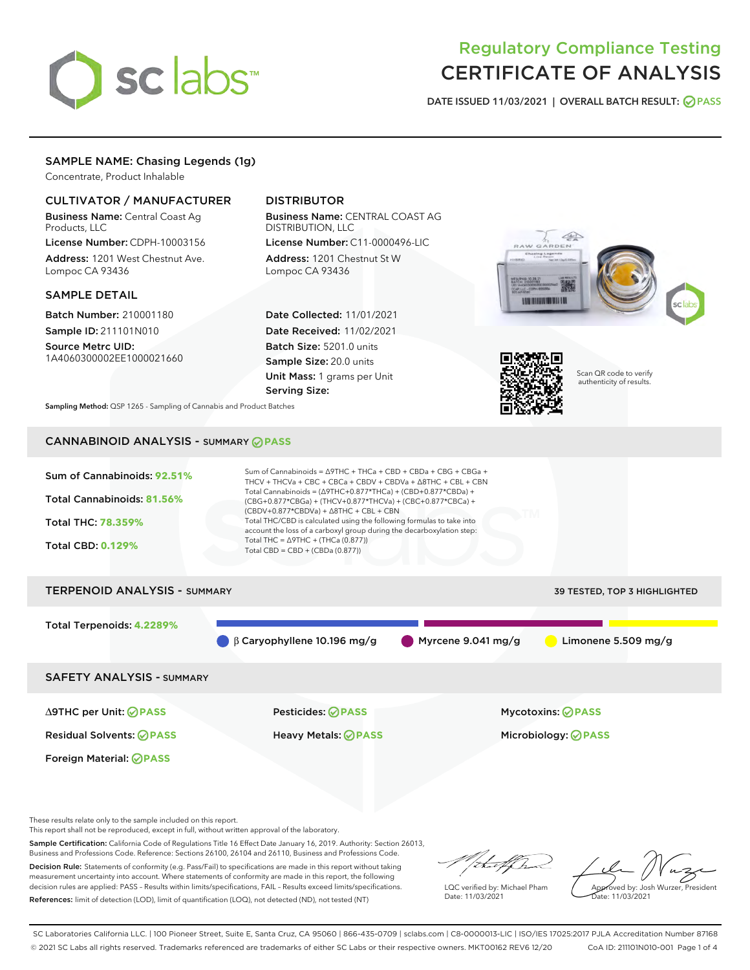# sclabs<sup>\*</sup>

# Regulatory Compliance Testing CERTIFICATE OF ANALYSIS

DATE ISSUED 11/03/2021 | OVERALL BATCH RESULT: @ PASS

# SAMPLE NAME: Chasing Legends (1g)

Concentrate, Product Inhalable

# CULTIVATOR / MANUFACTURER

Business Name: Central Coast Ag Products, LLC

License Number: CDPH-10003156 Address: 1201 West Chestnut Ave. Lompoc CA 93436

# SAMPLE DETAIL

Batch Number: 210001180 Sample ID: 211101N010

Source Metrc UID: 1A4060300002EE1000021660

# DISTRIBUTOR

Business Name: CENTRAL COAST AG DISTRIBUTION, LLC License Number: C11-0000496-LIC

Address: 1201 Chestnut St W Lompoc CA 93436

Date Collected: 11/01/2021 Date Received: 11/02/2021 Batch Size: 5201.0 units Sample Size: 20.0 units Unit Mass: 1 grams per Unit Serving Size:





Scan QR code to verify authenticity of results.

Sampling Method: QSP 1265 - Sampling of Cannabis and Product Batches

# CANNABINOID ANALYSIS - SUMMARY **PASS**



These results relate only to the sample included on this report.

This report shall not be reproduced, except in full, without written approval of the laboratory.

Sample Certification: California Code of Regulations Title 16 Effect Date January 16, 2019. Authority: Section 26013, Business and Professions Code. Reference: Sections 26100, 26104 and 26110, Business and Professions Code. Decision Rule: Statements of conformity (e.g. Pass/Fail) to specifications are made in this report without taking

measurement uncertainty into account. Where statements of conformity are made in this report, the following decision rules are applied: PASS – Results within limits/specifications, FAIL – Results exceed limits/specifications. References: limit of detection (LOD), limit of quantification (LOQ), not detected (ND), not tested (NT)

that f(ha

LQC verified by: Michael Pham Date: 11/03/2021

Approved by: Josh Wurzer, President ate: 11/03/2021

SC Laboratories California LLC. | 100 Pioneer Street, Suite E, Santa Cruz, CA 95060 | 866-435-0709 | sclabs.com | C8-0000013-LIC | ISO/IES 17025:2017 PJLA Accreditation Number 87168 © 2021 SC Labs all rights reserved. Trademarks referenced are trademarks of either SC Labs or their respective owners. MKT00162 REV6 12/20 CoA ID: 211101N010-001 Page 1 of 4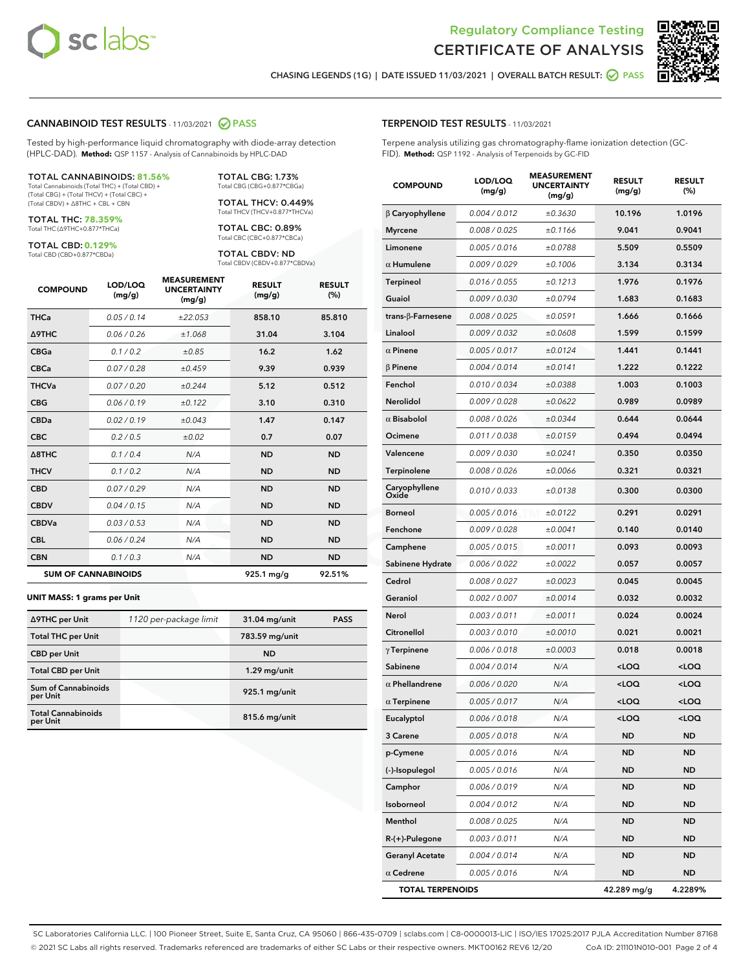



CHASING LEGENDS (1G) | DATE ISSUED 11/03/2021 | OVERALL BATCH RESULT: 2 PASS

#### CANNABINOID TEST RESULTS - 11/03/2021 2 PASS

Tested by high-performance liquid chromatography with diode-array detection (HPLC-DAD). **Method:** QSP 1157 - Analysis of Cannabinoids by HPLC-DAD

#### TOTAL CANNABINOIDS: **81.56%**

Total Cannabinoids (Total THC) + (Total CBD) + (Total CBG) + (Total THCV) + (Total CBC) + (Total CBDV) + ∆8THC + CBL + CBN

TOTAL THC: **78.359%** Total THC (∆9THC+0.877\*THCa)

TOTAL CBD: **0.129%**

Total CBD (CBD+0.877\*CBDa)

TOTAL CBG: 1.73% Total CBG (CBG+0.877\*CBGa)

TOTAL THCV: 0.449% Total THCV (THCV+0.877\*THCVa)

TOTAL CBC: 0.89% Total CBC (CBC+0.877\*CBCa)

TOTAL CBDV: ND Total CBDV (CBDV+0.877\*CBDVa)

| <b>COMPOUND</b>            | LOD/LOQ<br>(mg/g) | <b>MEASUREMENT</b><br><b>UNCERTAINTY</b><br>(mg/g) | <b>RESULT</b><br>(mg/g) | <b>RESULT</b><br>(%) |
|----------------------------|-------------------|----------------------------------------------------|-------------------------|----------------------|
| <b>THCa</b>                | 0.05/0.14         | ±22.053                                            | 858.10                  | 85.810               |
| <b>A9THC</b>               | 0.06 / 0.26       | ±1.068                                             | 31.04                   | 3.104                |
| <b>CBGa</b>                | 0.1/0.2           | ±0.85                                              | 16.2                    | 1.62                 |
| <b>CBCa</b>                | 0.07 / 0.28       | ±0.459                                             | 9.39                    | 0.939                |
| <b>THCVa</b>               | 0.07/0.20         | ±0.244                                             | 5.12                    | 0.512                |
| <b>CBG</b>                 | 0.06/0.19         | ±0.122                                             | 3.10                    | 0.310                |
| <b>CBDa</b>                | 0.02/0.19         | ±0.043                                             | 1.47                    | 0.147                |
| <b>CBC</b>                 | 0.2 / 0.5         | ±0.02                                              | 0.7                     | 0.07                 |
| A8THC                      | 0.1 / 0.4         | N/A                                                | <b>ND</b>               | <b>ND</b>            |
| <b>THCV</b>                | 0.1 / 0.2         | N/A                                                | <b>ND</b>               | <b>ND</b>            |
| <b>CBD</b>                 | 0.07/0.29         | N/A                                                | <b>ND</b>               | <b>ND</b>            |
| <b>CBDV</b>                | 0.04 / 0.15       | N/A                                                | <b>ND</b>               | <b>ND</b>            |
| <b>CBDVa</b>               | 0.03 / 0.53       | N/A                                                | <b>ND</b>               | <b>ND</b>            |
| <b>CBL</b>                 | 0.06 / 0.24       | N/A                                                | <b>ND</b>               | <b>ND</b>            |
| <b>CBN</b>                 | 0.1/0.3           | N/A                                                | <b>ND</b>               | <b>ND</b>            |
| <b>SUM OF CANNABINOIDS</b> |                   |                                                    | $925.1 \,\mathrm{mg/g}$ | 92.51%               |

#### **UNIT MASS: 1 grams per Unit**

| ∆9THC per Unit                        | 1120 per-package limit | 31.04 mg/unit   | <b>PASS</b> |
|---------------------------------------|------------------------|-----------------|-------------|
| <b>Total THC per Unit</b>             |                        | 783.59 mg/unit  |             |
| <b>CBD</b> per Unit                   |                        | <b>ND</b>       |             |
| <b>Total CBD per Unit</b>             |                        | 1.29 mg/unit    |             |
| Sum of Cannabinoids<br>per Unit       |                        | 925.1 mg/unit   |             |
| <b>Total Cannabinoids</b><br>per Unit |                        | $815.6$ mg/unit |             |

#### TERPENOID TEST RESULTS - 11/03/2021

Terpene analysis utilizing gas chromatography-flame ionization detection (GC-FID). **Method:** QSP 1192 - Analysis of Terpenoids by GC-FID

| <b>COMPOUND</b>         | LOD/LOQ<br>(mg/g) | <b>MEASUREMENT</b><br><b>UNCERTAINTY</b><br>(mg/g) | <b>RESULT</b><br>(mg/g)                          | <b>RESULT</b><br>$(\%)$ |
|-------------------------|-------------------|----------------------------------------------------|--------------------------------------------------|-------------------------|
| $\beta$ Caryophyllene   | 0.004 / 0.012     | ±0.3630                                            | 10.196                                           | 1.0196                  |
| <b>Myrcene</b>          | 0.008 / 0.025     | ±0.1166                                            | 9.041                                            | 0.9041                  |
| Limonene                | 0.005 / 0.016     | ±0.0788                                            | 5.509                                            | 0.5509                  |
| $\alpha$ Humulene       | 0.009/0.029       | ±0.1006                                            | 3.134                                            | 0.3134                  |
| <b>Terpineol</b>        | 0.016 / 0.055     | ±0.1213                                            | 1.976                                            | 0.1976                  |
| Guaiol                  | 0.009 / 0.030     | ±0.0794                                            | 1.683                                            | 0.1683                  |
| trans-β-Farnesene       | 0.008 / 0.025     | ±0.0591                                            | 1.666                                            | 0.1666                  |
| Linalool                | 0.009 / 0.032     | ±0.0608                                            | 1.599                                            | 0.1599                  |
| $\alpha$ Pinene         | 0.005 / 0.017     | ±0.0124                                            | 1.441                                            | 0.1441                  |
| <b>β Pinene</b>         | 0.004 / 0.014     | ±0.0141                                            | 1.222                                            | 0.1222                  |
| Fenchol                 | 0.010 / 0.034     | ±0.0388                                            | 1.003                                            | 0.1003                  |
| Nerolidol               | 0.009 / 0.028     | ±0.0622                                            | 0.989                                            | 0.0989                  |
| $\alpha$ Bisabolol      | 0.008 / 0.026     | ±0.0344                                            | 0.644                                            | 0.0644                  |
| Ocimene                 | 0.011 / 0.038     | ±0.0159                                            | 0.494                                            | 0.0494                  |
| Valencene               | 0.009 / 0.030     | ±0.0241                                            | 0.350                                            | 0.0350                  |
| Terpinolene             | 0.008 / 0.026     | ±0.0066                                            | 0.321                                            | 0.0321                  |
| Caryophyllene<br>Oxide  | 0.010 / 0.033     | ±0.0138                                            | 0.300                                            | 0.0300                  |
| <b>Borneol</b>          | 0.005 / 0.016     | ±0.0122                                            | 0.291                                            | 0.0291                  |
| Fenchone                | 0.009 / 0.028     | ±0.0041                                            | 0.140                                            | 0.0140                  |
| Camphene                | 0.005 / 0.015     | ±0.0011                                            | 0.093                                            | 0.0093                  |
| Sabinene Hydrate        | 0.006 / 0.022     | ±0.0022                                            | 0.057                                            | 0.0057                  |
| Cedrol                  | 0.008 / 0.027     | ±0.0023                                            | 0.045                                            | 0.0045                  |
| Geraniol                | 0.002 / 0.007     | ±0.0014                                            | 0.032                                            | 0.0032                  |
| Nerol                   | 0.003 / 0.011     | ±0.0011                                            | 0.024                                            | 0.0024                  |
| Citronellol             | 0.003 / 0.010     | ±0.0010                                            | 0.021                                            | 0.0021                  |
| $\gamma$ Terpinene      | 0.006 / 0.018     | ±0.0003                                            | 0.018                                            | 0.0018                  |
| Sabinene                | 0.004 / 0.014     | N/A                                                | <loq< th=""><th><loq< th=""></loq<></th></loq<>  | <loq< th=""></loq<>     |
| $\alpha$ Phellandrene   | 0.006 / 0.020     | N/A                                                | <loq< th=""><th><loq< th=""></loq<></th></loq<>  | <loq< th=""></loq<>     |
| $\alpha$ Terpinene      | 0.005 / 0.017     | N/A                                                | <loq< th=""><th><loq< th=""></loq<></th></loq<>  | <loq< th=""></loq<>     |
| Eucalyptol              | 0.006 / 0.018     | N/A                                                | <loq< th=""><th><math>&lt;</math>LOQ</th></loq<> | $<$ LOQ                 |
| 3 Carene                | 0.005 / 0.018     | N/A                                                | ND                                               | ND                      |
| p-Cymene                | 0.005 / 0.016     | N/A                                                | ND                                               | <b>ND</b>               |
| (-)-Isopulegol          | 0.005 / 0.016     | N/A                                                | <b>ND</b>                                        | <b>ND</b>               |
| Camphor                 | 0.006 / 0.019     | N/A                                                | ND                                               | ND                      |
| Isoborneol              | 0.004 / 0.012     | N/A                                                | ND                                               | ND                      |
| Menthol                 | 0.008 / 0.025     | N/A                                                | <b>ND</b>                                        | <b>ND</b>               |
| R-(+)-Pulegone          | 0.003 / 0.011     | N/A                                                | ND                                               | ND                      |
| <b>Geranyl Acetate</b>  | 0.004 / 0.014     | N/A                                                | ND                                               | <b>ND</b>               |
| $\alpha$ Cedrene        | 0.005 / 0.016     | N/A                                                | <b>ND</b>                                        | <b>ND</b>               |
| <b>TOTAL TERPENOIDS</b> |                   |                                                    | 42.289 mg/g                                      | 4.2289%                 |

SC Laboratories California LLC. | 100 Pioneer Street, Suite E, Santa Cruz, CA 95060 | 866-435-0709 | sclabs.com | C8-0000013-LIC | ISO/IES 17025:2017 PJLA Accreditation Number 87168 © 2021 SC Labs all rights reserved. Trademarks referenced are trademarks of either SC Labs or their respective owners. MKT00162 REV6 12/20 CoA ID: 211101N010-001 Page 2 of 4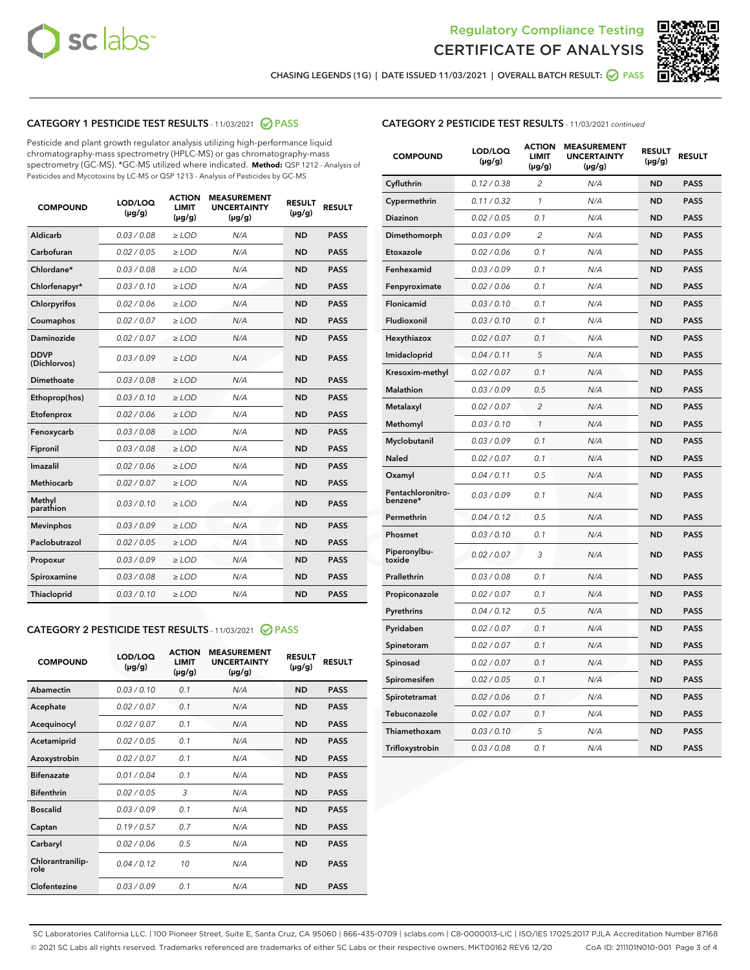



CHASING LEGENDS (1G) | DATE ISSUED 11/03/2021 | OVERALL BATCH RESULT: **○** PASS

# CATEGORY 1 PESTICIDE TEST RESULTS - 11/03/2021 2 PASS

Pesticide and plant growth regulator analysis utilizing high-performance liquid chromatography-mass spectrometry (HPLC-MS) or gas chromatography-mass spectrometry (GC-MS). \*GC-MS utilized where indicated. **Method:** QSP 1212 - Analysis of Pesticides and Mycotoxins by LC-MS or QSP 1213 - Analysis of Pesticides by GC-MS

| <b>Aldicarb</b><br>0.03 / 0.08<br><b>ND</b><br>$\ge$ LOD<br>N/A<br><b>PASS</b><br>Carbofuran<br>0.02/0.05<br>$\ge$ LOD<br>N/A<br><b>ND</b><br><b>PASS</b><br>Chlordane*<br>0.03 / 0.08<br><b>ND</b><br>$>$ LOD<br>N/A<br><b>PASS</b><br>0.03/0.10<br><b>ND</b><br><b>PASS</b><br>Chlorfenapyr*<br>$\ge$ LOD<br>N/A<br>0.02 / 0.06<br>N/A<br><b>ND</b><br><b>PASS</b><br>Chlorpyrifos<br>$\ge$ LOD<br>0.02 / 0.07<br>N/A<br><b>ND</b><br><b>PASS</b><br>Coumaphos<br>$>$ LOD<br>Daminozide<br>0.02 / 0.07<br>$\ge$ LOD<br>N/A<br><b>ND</b><br><b>PASS</b><br><b>DDVP</b><br>0.03/0.09<br>$\ge$ LOD<br>N/A<br><b>ND</b><br><b>PASS</b><br>(Dichlorvos)<br>Dimethoate<br><b>ND</b><br><b>PASS</b><br>0.03 / 0.08<br>$>$ LOD<br>N/A<br>Ethoprop(hos)<br>0.03/0.10<br>$\ge$ LOD<br>N/A<br><b>ND</b><br><b>PASS</b><br>0.02/0.06<br>$\ge$ LOD<br>N/A<br><b>ND</b><br><b>PASS</b><br>Etofenprox<br>Fenoxycarb<br>0.03 / 0.08<br>$>$ LOD<br>N/A<br><b>ND</b><br><b>PASS</b><br>0.03 / 0.08<br><b>ND</b><br><b>PASS</b><br>Fipronil<br>$\ge$ LOD<br>N/A<br>Imazalil<br>0.02 / 0.06<br>$>$ LOD<br>N/A<br><b>ND</b><br><b>PASS</b><br>0.02 / 0.07<br>Methiocarb<br>N/A<br><b>ND</b><br>$>$ LOD<br><b>PASS</b><br>Methyl<br>0.03/0.10<br>$\ge$ LOD<br>N/A<br><b>ND</b><br><b>PASS</b><br>parathion<br>0.03/0.09<br>$\ge$ LOD<br>N/A<br><b>ND</b><br><b>PASS</b><br><b>Mevinphos</b><br>Paclobutrazol<br>0.02 / 0.05<br>$\ge$ LOD<br>N/A<br><b>ND</b><br><b>PASS</b><br>0.03/0.09<br>N/A<br>$\ge$ LOD<br><b>ND</b><br><b>PASS</b><br>Propoxur<br>0.03 / 0.08<br><b>ND</b><br><b>PASS</b><br>Spiroxamine<br>$\ge$ LOD<br>N/A<br><b>PASS</b><br>Thiacloprid<br>0.03/0.10<br>$\ge$ LOD<br>N/A<br><b>ND</b> | <b>COMPOUND</b> | LOD/LOQ<br>$(\mu g/g)$ | <b>ACTION</b><br>LIMIT<br>$(\mu g/g)$ | <b>MEASUREMENT</b><br><b>UNCERTAINTY</b><br>$(\mu g/g)$ | <b>RESULT</b><br>$(\mu g/g)$ | <b>RESULT</b> |
|--------------------------------------------------------------------------------------------------------------------------------------------------------------------------------------------------------------------------------------------------------------------------------------------------------------------------------------------------------------------------------------------------------------------------------------------------------------------------------------------------------------------------------------------------------------------------------------------------------------------------------------------------------------------------------------------------------------------------------------------------------------------------------------------------------------------------------------------------------------------------------------------------------------------------------------------------------------------------------------------------------------------------------------------------------------------------------------------------------------------------------------------------------------------------------------------------------------------------------------------------------------------------------------------------------------------------------------------------------------------------------------------------------------------------------------------------------------------------------------------------------------------------------------------------------------------------------------------------------------------------------------------------------------------------------------------|-----------------|------------------------|---------------------------------------|---------------------------------------------------------|------------------------------|---------------|
|                                                                                                                                                                                                                                                                                                                                                                                                                                                                                                                                                                                                                                                                                                                                                                                                                                                                                                                                                                                                                                                                                                                                                                                                                                                                                                                                                                                                                                                                                                                                                                                                                                                                                            |                 |                        |                                       |                                                         |                              |               |
|                                                                                                                                                                                                                                                                                                                                                                                                                                                                                                                                                                                                                                                                                                                                                                                                                                                                                                                                                                                                                                                                                                                                                                                                                                                                                                                                                                                                                                                                                                                                                                                                                                                                                            |                 |                        |                                       |                                                         |                              |               |
|                                                                                                                                                                                                                                                                                                                                                                                                                                                                                                                                                                                                                                                                                                                                                                                                                                                                                                                                                                                                                                                                                                                                                                                                                                                                                                                                                                                                                                                                                                                                                                                                                                                                                            |                 |                        |                                       |                                                         |                              |               |
|                                                                                                                                                                                                                                                                                                                                                                                                                                                                                                                                                                                                                                                                                                                                                                                                                                                                                                                                                                                                                                                                                                                                                                                                                                                                                                                                                                                                                                                                                                                                                                                                                                                                                            |                 |                        |                                       |                                                         |                              |               |
|                                                                                                                                                                                                                                                                                                                                                                                                                                                                                                                                                                                                                                                                                                                                                                                                                                                                                                                                                                                                                                                                                                                                                                                                                                                                                                                                                                                                                                                                                                                                                                                                                                                                                            |                 |                        |                                       |                                                         |                              |               |
|                                                                                                                                                                                                                                                                                                                                                                                                                                                                                                                                                                                                                                                                                                                                                                                                                                                                                                                                                                                                                                                                                                                                                                                                                                                                                                                                                                                                                                                                                                                                                                                                                                                                                            |                 |                        |                                       |                                                         |                              |               |
|                                                                                                                                                                                                                                                                                                                                                                                                                                                                                                                                                                                                                                                                                                                                                                                                                                                                                                                                                                                                                                                                                                                                                                                                                                                                                                                                                                                                                                                                                                                                                                                                                                                                                            |                 |                        |                                       |                                                         |                              |               |
|                                                                                                                                                                                                                                                                                                                                                                                                                                                                                                                                                                                                                                                                                                                                                                                                                                                                                                                                                                                                                                                                                                                                                                                                                                                                                                                                                                                                                                                                                                                                                                                                                                                                                            |                 |                        |                                       |                                                         |                              |               |
|                                                                                                                                                                                                                                                                                                                                                                                                                                                                                                                                                                                                                                                                                                                                                                                                                                                                                                                                                                                                                                                                                                                                                                                                                                                                                                                                                                                                                                                                                                                                                                                                                                                                                            |                 |                        |                                       |                                                         |                              |               |
|                                                                                                                                                                                                                                                                                                                                                                                                                                                                                                                                                                                                                                                                                                                                                                                                                                                                                                                                                                                                                                                                                                                                                                                                                                                                                                                                                                                                                                                                                                                                                                                                                                                                                            |                 |                        |                                       |                                                         |                              |               |
|                                                                                                                                                                                                                                                                                                                                                                                                                                                                                                                                                                                                                                                                                                                                                                                                                                                                                                                                                                                                                                                                                                                                                                                                                                                                                                                                                                                                                                                                                                                                                                                                                                                                                            |                 |                        |                                       |                                                         |                              |               |
|                                                                                                                                                                                                                                                                                                                                                                                                                                                                                                                                                                                                                                                                                                                                                                                                                                                                                                                                                                                                                                                                                                                                                                                                                                                                                                                                                                                                                                                                                                                                                                                                                                                                                            |                 |                        |                                       |                                                         |                              |               |
|                                                                                                                                                                                                                                                                                                                                                                                                                                                                                                                                                                                                                                                                                                                                                                                                                                                                                                                                                                                                                                                                                                                                                                                                                                                                                                                                                                                                                                                                                                                                                                                                                                                                                            |                 |                        |                                       |                                                         |                              |               |
|                                                                                                                                                                                                                                                                                                                                                                                                                                                                                                                                                                                                                                                                                                                                                                                                                                                                                                                                                                                                                                                                                                                                                                                                                                                                                                                                                                                                                                                                                                                                                                                                                                                                                            |                 |                        |                                       |                                                         |                              |               |
|                                                                                                                                                                                                                                                                                                                                                                                                                                                                                                                                                                                                                                                                                                                                                                                                                                                                                                                                                                                                                                                                                                                                                                                                                                                                                                                                                                                                                                                                                                                                                                                                                                                                                            |                 |                        |                                       |                                                         |                              |               |
|                                                                                                                                                                                                                                                                                                                                                                                                                                                                                                                                                                                                                                                                                                                                                                                                                                                                                                                                                                                                                                                                                                                                                                                                                                                                                                                                                                                                                                                                                                                                                                                                                                                                                            |                 |                        |                                       |                                                         |                              |               |
|                                                                                                                                                                                                                                                                                                                                                                                                                                                                                                                                                                                                                                                                                                                                                                                                                                                                                                                                                                                                                                                                                                                                                                                                                                                                                                                                                                                                                                                                                                                                                                                                                                                                                            |                 |                        |                                       |                                                         |                              |               |
|                                                                                                                                                                                                                                                                                                                                                                                                                                                                                                                                                                                                                                                                                                                                                                                                                                                                                                                                                                                                                                                                                                                                                                                                                                                                                                                                                                                                                                                                                                                                                                                                                                                                                            |                 |                        |                                       |                                                         |                              |               |
|                                                                                                                                                                                                                                                                                                                                                                                                                                                                                                                                                                                                                                                                                                                                                                                                                                                                                                                                                                                                                                                                                                                                                                                                                                                                                                                                                                                                                                                                                                                                                                                                                                                                                            |                 |                        |                                       |                                                         |                              |               |
|                                                                                                                                                                                                                                                                                                                                                                                                                                                                                                                                                                                                                                                                                                                                                                                                                                                                                                                                                                                                                                                                                                                                                                                                                                                                                                                                                                                                                                                                                                                                                                                                                                                                                            |                 |                        |                                       |                                                         |                              |               |
|                                                                                                                                                                                                                                                                                                                                                                                                                                                                                                                                                                                                                                                                                                                                                                                                                                                                                                                                                                                                                                                                                                                                                                                                                                                                                                                                                                                                                                                                                                                                                                                                                                                                                            |                 |                        |                                       |                                                         |                              |               |

# CATEGORY 2 PESTICIDE TEST RESULTS - 11/03/2021 @ PASS

| <b>COMPOUND</b>          | LOD/LOO<br>$(\mu g/g)$ | <b>ACTION</b><br>LIMIT<br>$(\mu g/g)$ | <b>MEASUREMENT</b><br><b>UNCERTAINTY</b><br>$(\mu g/g)$ | <b>RESULT</b><br>$(\mu g/g)$ | <b>RESULT</b> |  |
|--------------------------|------------------------|---------------------------------------|---------------------------------------------------------|------------------------------|---------------|--|
| Abamectin                | 0.03/0.10              | 0.1                                   | N/A                                                     | <b>ND</b>                    | <b>PASS</b>   |  |
| Acephate                 | 0.02/0.07              | 0.1                                   | N/A                                                     | <b>ND</b>                    | <b>PASS</b>   |  |
| Acequinocyl              | 0.02/0.07              | 0.1                                   | N/A                                                     | <b>ND</b>                    | <b>PASS</b>   |  |
| Acetamiprid              | 0.02 / 0.05            | 0.1                                   | N/A                                                     | <b>ND</b>                    | <b>PASS</b>   |  |
| Azoxystrobin             | 0.02/0.07              | 0.1                                   | N/A                                                     | <b>ND</b>                    | <b>PASS</b>   |  |
| <b>Bifenazate</b>        | 0.01 / 0.04            | 0.1                                   | N/A                                                     | <b>ND</b>                    | <b>PASS</b>   |  |
| <b>Bifenthrin</b>        | 0.02 / 0.05            | 3                                     | N/A                                                     | <b>ND</b>                    | <b>PASS</b>   |  |
| <b>Boscalid</b>          | 0.03/0.09              | 0.1                                   | N/A                                                     | <b>ND</b>                    | <b>PASS</b>   |  |
| Captan                   | 0.19/0.57              | 0.7                                   | N/A                                                     | <b>ND</b>                    | <b>PASS</b>   |  |
| Carbaryl                 | 0.02/0.06              | 0.5                                   | N/A                                                     | <b>ND</b>                    | <b>PASS</b>   |  |
| Chlorantranilip-<br>role | 0.04/0.12              | 10                                    | N/A                                                     | <b>ND</b>                    | <b>PASS</b>   |  |
| Clofentezine             | 0.03/0.09              | 0.1                                   | N/A                                                     | <b>ND</b>                    | <b>PASS</b>   |  |

| <b>CATEGORY 2 PESTICIDE TEST RESULTS</b> - 11/03/2021 continued |  |  |
|-----------------------------------------------------------------|--|--|
|                                                                 |  |  |

| <b>COMPOUND</b>               | LOD/LOQ<br>(µg/g) | <b>ACTION</b><br><b>LIMIT</b><br>(µg/g) | <b>MEASUREMENT</b><br><b>UNCERTAINTY</b><br>$(\mu g/g)$ | <b>RESULT</b><br>(µg/g) | <b>RESULT</b> |
|-------------------------------|-------------------|-----------------------------------------|---------------------------------------------------------|-------------------------|---------------|
| Cyfluthrin                    | 0.12 / 0.38       | $\overline{c}$                          | N/A                                                     | <b>ND</b>               | <b>PASS</b>   |
| Cypermethrin                  | 0.11 / 0.32       | $\mathcal{I}$                           | N/A                                                     | <b>ND</b>               | <b>PASS</b>   |
| <b>Diazinon</b>               | 0.02 / 0.05       | 0.1                                     | N/A                                                     | <b>ND</b>               | <b>PASS</b>   |
| Dimethomorph                  | 0.03 / 0.09       | 2                                       | N/A                                                     | <b>ND</b>               | <b>PASS</b>   |
| Etoxazole                     | 0.02 / 0.06       | 0.1                                     | N/A                                                     | <b>ND</b>               | <b>PASS</b>   |
| Fenhexamid                    | 0.03 / 0.09       | 0.1                                     | N/A                                                     | <b>ND</b>               | <b>PASS</b>   |
| Fenpyroximate                 | 0.02 / 0.06       | 0.1                                     | N/A                                                     | <b>ND</b>               | <b>PASS</b>   |
| Flonicamid                    | 0.03 / 0.10       | 0.1                                     | N/A                                                     | <b>ND</b>               | <b>PASS</b>   |
| Fludioxonil                   | 0.03/0.10         | 0.1                                     | N/A                                                     | <b>ND</b>               | <b>PASS</b>   |
| Hexythiazox                   | 0.02 / 0.07       | 0.1                                     | N/A                                                     | <b>ND</b>               | <b>PASS</b>   |
| Imidacloprid                  | 0.04 / 0.11       | 5                                       | N/A                                                     | <b>ND</b>               | <b>PASS</b>   |
| Kresoxim-methyl               | 0.02 / 0.07       | 0.1                                     | N/A                                                     | <b>ND</b>               | <b>PASS</b>   |
| <b>Malathion</b>              | 0.03 / 0.09       | 0.5                                     | N/A                                                     | <b>ND</b>               | <b>PASS</b>   |
| Metalaxyl                     | 0.02 / 0.07       | $\overline{c}$                          | N/A                                                     | <b>ND</b>               | <b>PASS</b>   |
| Methomyl                      | 0.03 / 0.10       | 1                                       | N/A                                                     | <b>ND</b>               | <b>PASS</b>   |
| Myclobutanil                  | 0.03 / 0.09       | 0.1                                     | N/A                                                     | <b>ND</b>               | <b>PASS</b>   |
| Naled                         | 0.02 / 0.07       | 0.1                                     | N/A                                                     | <b>ND</b>               | <b>PASS</b>   |
| Oxamyl                        | 0.04 / 0.11       | 0.5                                     | N/A                                                     | <b>ND</b>               | <b>PASS</b>   |
| Pentachloronitro-<br>benzene* | 0.03 / 0.09       | 0.1                                     | N/A                                                     | <b>ND</b>               | <b>PASS</b>   |
| Permethrin                    | 0.04 / 0.12       | 0.5                                     | N/A                                                     | <b>ND</b>               | <b>PASS</b>   |
| Phosmet                       | 0.03 / 0.10       | 0.1                                     | N/A                                                     | <b>ND</b>               | <b>PASS</b>   |
| Piperonylbu-<br>toxide        | 0.02 / 0.07       | 3                                       | N/A                                                     | <b>ND</b>               | <b>PASS</b>   |
| Prallethrin                   | 0.03 / 0.08       | 0.1                                     | N/A                                                     | <b>ND</b>               | <b>PASS</b>   |
| Propiconazole                 | 0.02 / 0.07       | 0.1                                     | N/A                                                     | <b>ND</b>               | <b>PASS</b>   |
| Pyrethrins                    | 0.04 / 0.12       | 0.5                                     | N/A                                                     | <b>ND</b>               | <b>PASS</b>   |
| Pyridaben                     | 0.02 / 0.07       | 0.1                                     | N/A                                                     | <b>ND</b>               | <b>PASS</b>   |
| Spinetoram                    | 0.02 / 0.07       | 0.1                                     | N/A                                                     | <b>ND</b>               | <b>PASS</b>   |
| Spinosad                      | 0.02 / 0.07       | 0.1                                     | N/A                                                     | <b>ND</b>               | <b>PASS</b>   |
| Spiromesifen                  | 0.02 / 0.05       | 0.1                                     | N/A                                                     | <b>ND</b>               | <b>PASS</b>   |
| Spirotetramat                 | 0.02 / 0.06       | 0.1                                     | N/A                                                     | <b>ND</b>               | <b>PASS</b>   |
| Tebuconazole                  | 0.02 / 0.07       | 0.1                                     | N/A                                                     | <b>ND</b>               | <b>PASS</b>   |
| Thiamethoxam                  | 0.03 / 0.10       | 5                                       | N/A                                                     | <b>ND</b>               | <b>PASS</b>   |
| Trifloxystrobin               | 0.03 / 0.08       | 0.1                                     | N/A                                                     | <b>ND</b>               | <b>PASS</b>   |

SC Laboratories California LLC. | 100 Pioneer Street, Suite E, Santa Cruz, CA 95060 | 866-435-0709 | sclabs.com | C8-0000013-LIC | ISO/IES 17025:2017 PJLA Accreditation Number 87168 © 2021 SC Labs all rights reserved. Trademarks referenced are trademarks of either SC Labs or their respective owners. MKT00162 REV6 12/20 CoA ID: 211101N010-001 Page 3 of 4